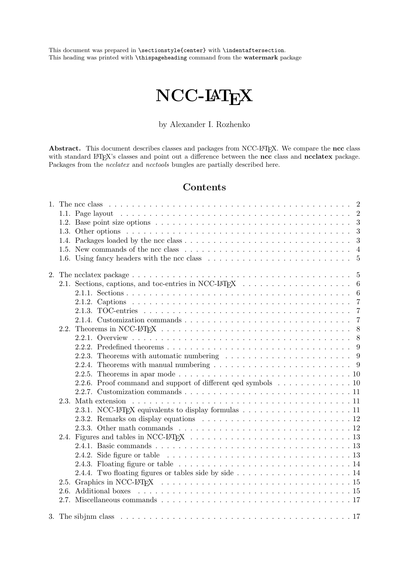This document was prepared in \sectionstyle{center} with \indentaftersection. This heading was printed with \thispageheading command from the watermark package

# NCC-LATEX

# by Alexander I. Rozhenko

Abstract. This document describes classes and packages from NCC-L<sup>AT</sup>EX. We compare the ncc class with standard LATEX's classes and point out a difference between the ncc class and ncclatex package. Packages from the *ncclatex* and *ncctools* bungles are partially described here.

# Contents

| 1.5. New commands of the ncc class $\dots \dots \dots \dots \dots \dots \dots \dots \dots \dots \dots \dots$            |  |
|-------------------------------------------------------------------------------------------------------------------------|--|
| 1.6. Using fancy headers with the ncc class $\ldots \ldots \ldots \ldots \ldots \ldots \ldots \ldots \ldots 5$          |  |
|                                                                                                                         |  |
|                                                                                                                         |  |
|                                                                                                                         |  |
|                                                                                                                         |  |
|                                                                                                                         |  |
|                                                                                                                         |  |
|                                                                                                                         |  |
|                                                                                                                         |  |
|                                                                                                                         |  |
| 2.2.3. Theorems with automatic numbering $\ldots \ldots \ldots \ldots \ldots \ldots \ldots$                             |  |
| 2.2.4. Theorems with manual numbering $\ldots \ldots \ldots \ldots \ldots \ldots \ldots \ldots$                         |  |
|                                                                                                                         |  |
| 2.2.6. Proof command and support of different ged symbols 10                                                            |  |
|                                                                                                                         |  |
|                                                                                                                         |  |
| 2.3.1. NCC-LAT <sub>F</sub> X equivalents to display formulas $\ldots \ldots \ldots \ldots \ldots \ldots \ldots \ldots$ |  |
|                                                                                                                         |  |
| 2.3.3. Other math commands $\ldots \ldots \ldots \ldots \ldots \ldots \ldots \ldots \ldots \ldots \ldots 12$            |  |
|                                                                                                                         |  |
|                                                                                                                         |  |
|                                                                                                                         |  |
| 2.4.3. Floating figure or table $\ldots \ldots \ldots \ldots \ldots \ldots \ldots \ldots \ldots \ldots 14$              |  |
|                                                                                                                         |  |
|                                                                                                                         |  |
|                                                                                                                         |  |
|                                                                                                                         |  |
|                                                                                                                         |  |
|                                                                                                                         |  |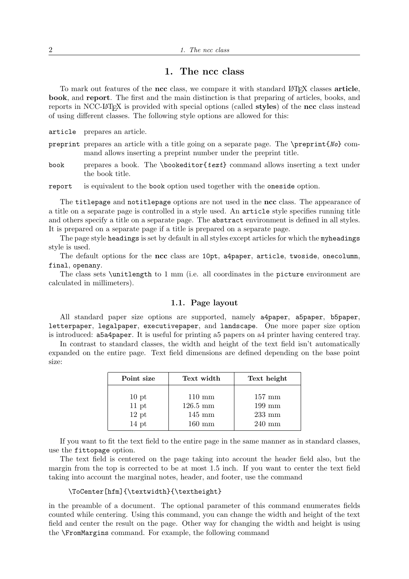# 1. The ncc class

To mark out features of the ncc class, we compare it with standard LATEX classes article, book, and report. The first and the main distinction is that preparing of articles, books, and reports in NCC-LATEX is provided with special options (called styles) of the ncc class instead of using different classes. The following style options are allowed for this:

article prepares an article.

- preprint prepares an article with a title going on a separate page. The  $\preccurlyeq$   $No$  command allows inserting a preprint number under the preprint title.
- book prepares a book. The \bookeditor{text} command allows inserting a text under the book title.

report is equivalent to the book option used together with the oneside option.

The titlepage and notitlepage options are not used in the ncc class. The appearance of a title on a separate page is controlled in a style used. An article style specifies running title and others specify a title on a separate page. The abstract environment is defined in all styles. It is prepared on a separate page if a title is prepared on a separate page.

The page style headings is set by default in all styles except articles for which the myheadings style is used.

The default options for the ncc class are 10pt, a4paper, article, twoside, onecolumn, final, openany.

The class sets \unitlength to 1 mm (i.e. all coordinates in the picture environment are calculated in millimeters).

### 1.1. Page layout

All standard paper size options are supported, namely a4paper, a5paper, b5paper, letterpaper, legalpaper, executivepaper, and landscape. One more paper size option is introduced: a5a4paper. It is useful for printing a5 papers on a4 printer having centered tray.

In contrast to standard classes, the width and height of the text field isn't automatically expanded on the entire page. Text field dimensions are defined depending on the base point size:

| Point size       | Text width         | Text height      |
|------------------|--------------------|------------------|
| 10 <sub>pt</sub> | $110 \text{ mm}$   | $157 \text{ mm}$ |
| 11 pt            | $126.5 \text{ mm}$ | $199 \text{ mm}$ |
| $12~\rm{pt}$     | $145 \text{ mm}$   | $233$ mm         |
| $14$ pt          | $160 \text{ mm}$   | $240 \text{ mm}$ |

If you want to fit the text field to the entire page in the same manner as in standard classes, use the fittopage option.

The text field is centered on the page taking into account the header field also, but the margin from the top is corrected to be at most 1.5 inch. If you want to center the text field taking into account the marginal notes, header, and footer, use the command

#### \ToCenter[hfm]{\textwidth}{\textheight}

in the preamble of a document. The optional parameter of this command enumerates fields counted while centering. Using this command, you can change the width and height of the text field and center the result on the page. Other way for changing the width and height is using the \FromMargins command. For example, the following command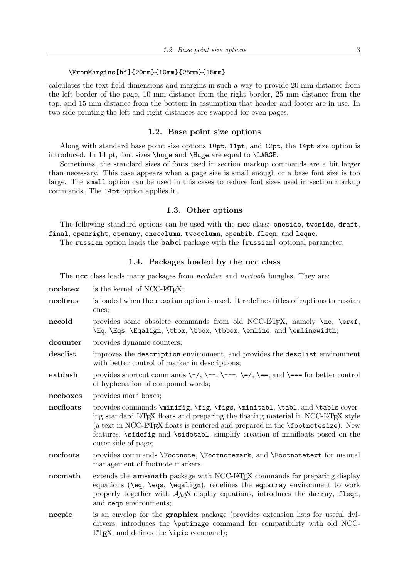#### \FromMargins[hf]{20mm}{10mm}{25mm}{15mm}

calculates the text field dimensions and margins in such a way to provide 20 mm distance from the left border of the page, 10 mm distance from the right border, 25 mm distance from the top, and 15 mm distance from the bottom in assumption that header and footer are in use. In two-side printing the left and right distances are swapped for even pages.

#### 1.2. Base point size options

Along with standard base point size options 10pt, 11pt, and 12pt, the 14pt size option is introduced. In 14 pt, font sizes \huge and \Huge are equal to \LARGE.

Sometimes, the standard sizes of fonts used in section markup commands are a bit larger than necessary. This case appears when a page size is small enough or a base font size is too large. The small option can be used in this cases to reduce font sizes used in section markup commands. The 14pt option applies it.

#### 1.3. Other options

The following standard options can be used with the ncc class: oneside, twoside, draft, final, openright, openany, onecolumn, twocolumn, openbib, fleqn, and leqno.

The russian option loads the babel package with the [russian] optional parameter.

## 1.4. Packages loaded by the ncc class

The ncc class loads many packages from *ncclatex* and *ncctools* bungles. They are:

- $\textbf{ncclates}$  is the kernel of NCC-LAT<sub>EX</sub>; nccltrus is loaded when the russian option is used. It redefines titles of captions to russian ones;
- nccold provides some obsolete commands from old NCC-LATEX, namely \no, \eref, \Eq, \Eqs, \Eqalign, \tbox, \bbox, \tbbox, \emline, and \emlinewidth;
- dcounter provides dynamic counters;
- desclist improves the description environment, and provides the desclist environment with better control of marker in descriptions;
- extdash provides shortcut commands  $\-\$ /,  $\-\$ ,  $\-\$ ,  $\=$ ,  $\=$ , and  $\=$ = for better control of hyphenation of compound words;

nccboxes provides more boxes;

- nccfloats provides commands \minifig, \fig, \figs, \minitabl, \tabl, and \tabls covering standard LAT<sub>EX</sub> floats and preparing the floating material in NCC-LAT<sub>EX</sub> style (a text in NCC-LAT<sub>EX</sub> floats is centered and prepared in the  $\footnotesize{\text{footnotesize}}$ . New features, \sidefig and \sidetabl, simplify creation of minifloats posed on the outer side of page;
- nccfoots provides commands \Footnote, \Footnotemark, and \Footnotetext for manual management of footnote markers.
- nccmath extends the amsmath package with NCC-LAT<sub>EX</sub> commands for preparing display equations (\eq, \eqs, \eqalign), redefines the eqnarray environment to work properly together with  $A_{\mathcal{M}}\mathcal{S}$  display equations, introduces the darray, fleqn, and ceqn environments;
- nccpic is an envelop for the graphicx package (provides extension lists for useful dvidrivers, introduces the \putimage command for compatibility with old NCC- $\Delta E$ F<sub>F</sub>X, and defines the \ipic command);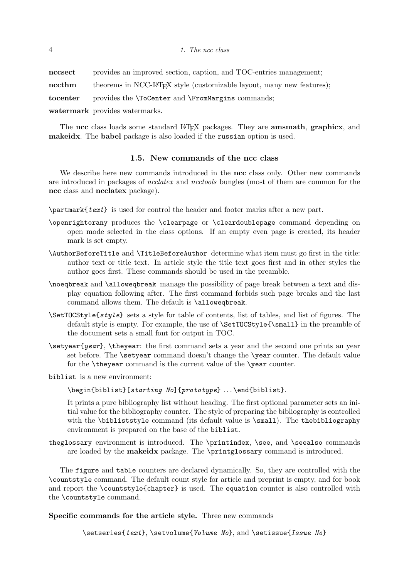| $\operatorname{nc} \operatorname{sec}$ t | provides an improved section, caption, and TOC-entries management;                              |
|------------------------------------------|-------------------------------------------------------------------------------------------------|
| $\operatorname{nccthm}$                  | theorems in NCC-L <sup>A</sup> T <sub>F</sub> X style (customizable layout, many new features); |
| $\operatorname{tocenter}$                | provides the <i>\ToCenter</i> and <i>\FromMargins</i> commands;                                 |
|                                          | watermark provides watermarks.                                                                  |

The ncc class loads some standard LAT<sub>EX</sub> packages. They are **amsmath**, graphicx, and makeidx. The babel package is also loaded if the russian option is used.

## 1.5. New commands of the ncc class

We describe here new commands introduced in the ncc class only. Other new commands are introduced in packages of ncclatex and ncctools bungles (most of them are common for the ncc class and ncclatex package).

\partmark{text} is used for control the header and footer marks after a new part.

- \openrightorany produces the \clearpage or \cleardoublepage command depending on open mode selected in the class options. If an empty even page is created, its header mark is set empty.
- \AuthorBeforeTitle and \TitleBeforeAuthor determine what item must go first in the title: author text or title text. In article style the title text goes first and in other styles the author goes first. These commands should be used in the preamble.
- \noeqbreak and \alloweqbreak manage the possibility of page break between a text and display equation following after. The first command forbids such page breaks and the last command allows them. The default is \alloweqbreak.
- \SetTOCStyle{style} sets a style for table of contents, list of tables, and list of figures. The default style is empty. For example, the use of \SetTOCStyle{\small} in the preamble of the document sets a small font for output in TOC.
- $\setminus$ setyear{year},  $\setminus$ theyear: the first command sets a year and the second one prints an year set before. The **\setyear** command doesn't change the **\year** counter. The default value for the \theyear command is the current value of the \year counter.

biblist is a new environment:

\begin{biblist}[starting No]{prototype} . . . \end{biblist}.

It prints a pure bibliography list without heading. The first optional parameter sets an initial value for the bibliography counter. The style of preparing the bibliography is controlled with the \bibliststyle command (its default value is \small). The thebibliography environment is prepared on the base of the biblist.

theglossary environment is introduced. The \printindex, \see, and \seealso commands are loaded by the makeidx package. The \printglossary command is introduced.

The figure and table counters are declared dynamically. So, they are controlled with the \countstyle command. The default count style for article and preprint is empty, and for book and report the \countstyle{chapter} is used. The equation counter is also controlled with the \countstyle command.

Specific commands for the article style. Three new commands

\setseries{text}, \setvolume{Volume No}, and \setissue{Issue No}

4 1. The ncc class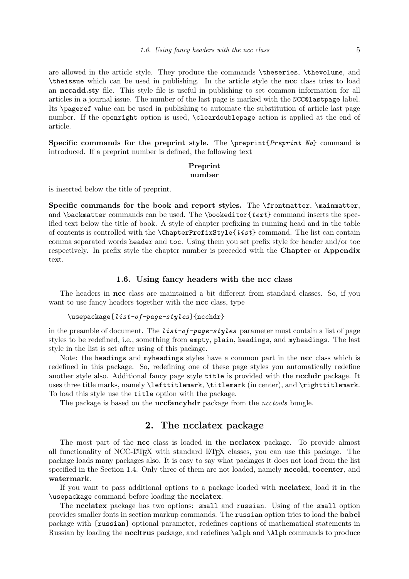are allowed in the article style. They produce the commands \theseries, \thevolume, and \theissue which can be used in publishing. In the article style the ncc class tries to load an nccadd.sty file. This style file is useful in publishing to set common information for all articles in a journal issue. The number of the last page is marked with the NCC@lastpage label. Its \pageref value can be used in publishing to automate the substitution of article last page number. If the openright option is used, \cleardoublepage action is applied at the end of article.

Specific commands for the preprint style. The \preprint{Preprint No} command is introduced. If a preprint number is defined, the following text

#### Preprint number

is inserted below the title of preprint.

Specific commands for the book and report styles. The \frontmatter, \mainmatter, and \backmatter commands can be used. The \bookeditor{ $text$ } command inserts the specified text below the title of book. A style of chapter prefixing in running head and in the table of contents is controlled with the \ChapterPrefixStyle{list} command. The list can contain comma separated words header and toc. Using them you set prefix style for header and/or toc respectively. In prefix style the chapter number is preceded with the Chapter or Appendix text.

#### 1.6. Using fancy headers with the ncc class

The headers in ncc class are maintained a bit different from standard classes. So, if you want to use fancy headers together with the ncc class, type

## \usepackage[list-of-page-styles]{ncchdr}

in the preamble of document. The  $list-of-page-styles$  parameter must contain a list of page styles to be redefined, i.e., something from empty, plain, headings, and myheadings. The last style in the list is set after using of this package.

Note: the headings and myheadings styles have a common part in the ncc class which is redefined in this package. So, redefining one of these page styles you automatically redefine another style also. Additional fancy page style title is provided with the **ncchdr** package. It uses three title marks, namely \lefttitlemark, \titlemark (in center), and \righttitlemark. To load this style use the title option with the package.

The package is based on the **nccfancyhdr** package from the *ncctools* bungle.

# 2. The ncclatex package

The most part of the ncc class is loaded in the ncclatex package. To provide almost all functionality of NCC-LATEX with standard LATEX classes, you can use this package. The package loads many packages also. It is easy to say what packages it does not load from the list specified in the Section 1.4. Only three of them are not loaded, namely **nccold**, **tocenter**, and watermark.

If you want to pass additional options to a package loaded with ncclatex, load it in the \usepackage command before loading the ncclatex.

The ncclatex package has two options: small and russian. Using of the small option provides smaller fonts in section markup commands. The russian option tries to load the babel package with [russian] optional parameter, redefines captions of mathematical statements in Russian by loading the nccltrus package, and redefines \alph and \Alph commands to produce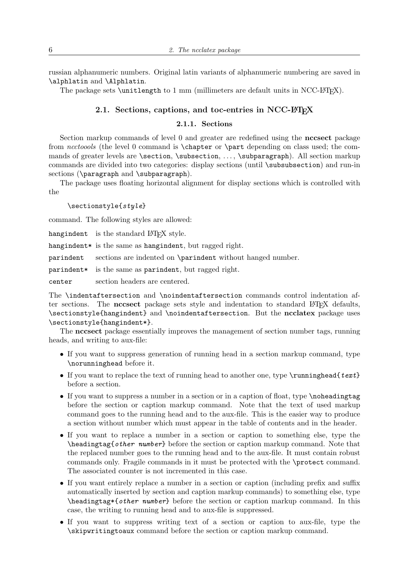russian alphanumeric numbers. Original latin variants of alphanumeric numbering are saved in \alphlatin and \Alphlatin.

The package sets \unitlength to 1 mm (millimeters are default units in  $NCC-FF_{F}X$ ).

# 2.1. Sections, captions, and toc-entries in NCC-LATEX

# 2.1.1. Sections

Section markup commands of level 0 and greater are redefined using the nccsect package from ncctoools (the level 0 command is \chapter or \part depending on class used; the commands of greater levels are \section, \subsection, ..., \subparagraph). All section markup commands are divided into two categories: display sections (until \subsubsection) and run-in sections (\paragraph and \subparagraph).

The package uses floating horizontal alignment for display sections which is controlled with the

\sectionstyle{style}

command. The following styles are allowed:

hangindent is the standard LATEX style.

hangindent\* is the same as hangindent, but ragged right.

parindent sections are indented on \parindent without hanged number.

parindent\* is the same as parindent, but ragged right.

center section headers are centered.

The \indentaftersection and \noindentaftersection commands control indentation after sections. The nccsect package sets style and indentation to standard LATEX defaults, \sectionstyle{hangindent} and \noindentaftersection. But the ncclatex package uses \sectionstyle{hangindent\*}.

The nccsect package essentially improves the management of section number tags, running heads, and writing to aux-file:

- If you want to suppress generation of running head in a section markup command, type \norunninghead before it.
- If you want to replace the text of running head to another one, type  $\rm \sum\delta\{text}$ before a section.
- If you want to suppress a number in a section or in a caption of float, type \noheadingtag before the section or caption markup command. Note that the text of used markup command goes to the running head and to the aux-file. This is the easier way to produce a section without number which must appear in the table of contents and in the header.
- If you want to replace a number in a section or caption to something else, type the  $\hbar$ eadingtag{*other number*} before the section or caption markup command. Note that the replaced number goes to the running head and to the aux-file. It must contain robust commands only. Fragile commands in it must be protected with the \protect command. The associated counter is not incremented in this case.
- If you want entirely replace a number in a section or caption (including prefix and suffix automatically inserted by section and caption markup commands) to something else, type  $\heaf{other number}$  before the section or caption markup command. In this case, the writing to running head and to aux-file is suppressed.
- If you want to suppress writing text of a section or caption to aux-file, type the \skipwritingtoaux command before the section or caption markup command.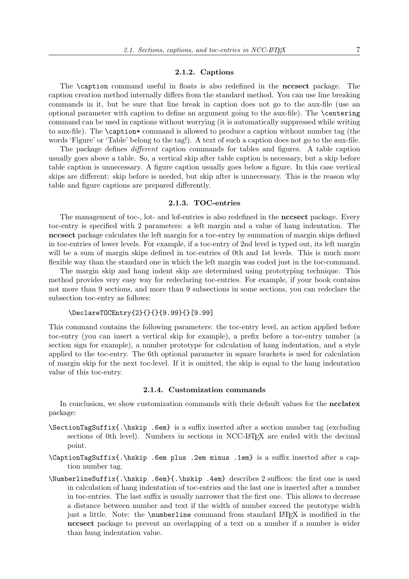#### 2.1.2. Captions

The \caption command useful in floats is also redefined in the nccsect package. The caption creation method internally differs from the standard method. You can use line breaking commands in it, but be sure that line break in caption does not go to the aux-file (use an optional parameter with caption to define an argument going to the aux-file). The \centering command can be used in captions without worrying (it is automatically suppressed while writing to aux-file). The \caption\* command is allowed to produce a caption without number tag (the words 'Figure' or 'Table' belong to the tag!). A text of such a caption does not go to the aux-file.

The package defines *different* caption commands for tables and figures. A table caption usually goes above a table. So, a vertical skip after table caption is necessary, but a skip before table caption is unnecessary. A figure caption usually goes below a figure. In this case vertical skips are different: skip before is needed, but skip after is unnecessary. This is the reason why table and figure captions are prepared differently.

## 2.1.3. TOC-entries

The management of toc-, lot- and lof-entries is also redefined in the **nccsect** package. Every toc-entry is specified with 2 parameters: a left margin and a value of hang indentation. The nccsect package calculates the left margin for a toc-entry by summation of margin skips defined in toc-entries of lower levels. For example, if a toc-entry of 2nd level is typed out, its left margin will be a sum of margin skips defined in toc-entries of 0th and 1st levels. This is much more flexible way than the standard one in which the left margin was coded just in the toc-command.

The margin skip and hang indent skip are determined using prototyping technique. This method provides very easy way for redeclaring toc-entries. For example, if your book contains not more than 9 sections, and more than 9 subsections in some sections, you can redeclare the subsection toc-entry as follows:

## \DeclareTOCEntry{2}{}{}{9.99}{}[9.99]

This command contains the following parameters: the toc-entry level, an action applied before toc-entry (you can insert a vertical skip for example), a prefix before a toc-entry number (a section sign for example), a number prototype for calculation of hang indentation, and a style applied to the toc-entry. The 6th optional parameter in square brackets is used for calculation of margin skip for the next toc-level. If it is omitted, the skip is equal to the hang indentation value of this toc-entry.

### 2.1.4. Customization commands

In conclusion, we show customization commands with their default values for the **ncclatex** package:

- \SectionTagSuffix{.\hskip .6em} is a suffix inserted after a section number tag (excluding sections of 0th level). Numbers in sections in NCC-LAT<sub>EX</sub> are ended with the decimal point.
- \CaptionTagSuffix{.\hskip .6em plus .2em minus .1em} is a suffix inserted after a caption number tag.
- \NumberlineSuffix{.\hskip .6em}{.\hskip .4em} describes 2 suffices: the first one is used in calculation of hang indentation of toc-entries and the last one is inserted after a number in toc-entries. The last suffix is usually narrower that the first one. This allows to decrease a distance between number and text if the width of number exceed the prototype width just a little. Note: the \numberline command from standard LATEX is modified in the nccsect package to prevent an overlapping of a text on a number if a number is wider than hung indentation value.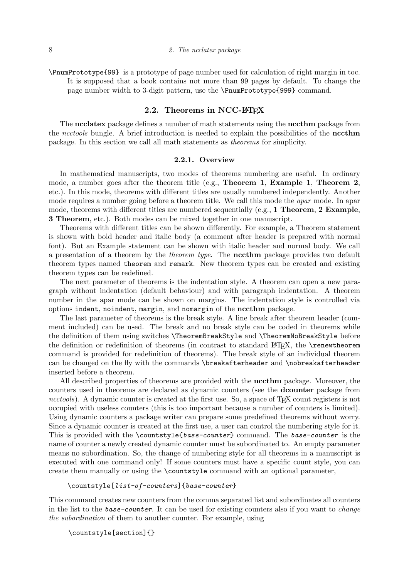\PnumPrototype{99} is a prototype of page number used for calculation of right margin in toc. It is supposed that a book contains not more than 99 pages by default. To change the page number width to 3-digit pattern, use the \PnumPrototype{999} command.

# 2.2. Theorems in NCC-LATEX

The neclatex package defines a number of math statements using the necthm package from the ncctools bungle. A brief introduction is needed to explain the possibilities of the necthm package. In this section we call all math statements as theorems for simplicity.

#### 2.2.1. Overview

In mathematical manuscripts, two modes of theorems numbering are useful. In ordinary mode, a number goes after the theorem title (e.g., Theorem 1, Example 1, Theorem 2, etc.). In this mode, theorems with different titles are usually numbered independently. Another mode requires a number going before a theorem title. We call this mode the *apar* mode. In apar mode, theorems with different titles are numbered sequentially (e.g., 1 Theorem, 2 Example, 3 Theorem, etc.). Both modes can be mixed together in one manuscript.

Theorems with different titles can be shown differently. For example, a Theorem statement is shown with bold header and italic body (a comment after header is prepared with normal font). But an Example statement can be shown with italic header and normal body. We call a presentation of a theorem by the theorem type. The nccthm package provides two default theorem types named theorem and remark. New theorem types can be created and existing theorem types can be redefined.

The next parameter of theorems is the indentation style. A theorem can open a new paragraph without indentation (default behaviour) and with paragraph indentation. A theorem number in the apar mode can be shown on margins. The indentation style is controlled via options indent, noindent, margin, and nomargin of the nccthm package.

The last parameter of theorems is the break style. A line break after theorem header (comment included) can be used. The break and no break style can be coded in theorems while the definition of them using switches \TheoremBreakStyle and \TheoremNoBreakStyle before the definition or redefinition of theorems (in contrast to standard L<sup>AT</sup>EX, the \renewtheorem command is provided for redefinition of theorems). The break style of an individual theorem can be changed on the fly with the commands \breakafterheader and \nobreakafterheader inserted before a theorem.

All described properties of theorems are provided with the nccthm package. Moreover, the counters used in theorems are declared as dynamic counters (see the dcounter package from ncctools). A dynamic counter is created at the first use. So, a space of T<sub>E</sub>X count registers is not occupied with useless counters (this is too important because a number of counters is limited). Using dynamic counters a package writer can prepare some predefined theorems without worry. Since a dynamic counter is created at the first use, a user can control the numbering style for it. This is provided with the \countstyle{base-counter} command. The base-counter is the name of counter a newly created dynamic counter must be subordinated to. An empty parameter means no subordination. So, the change of numbering style for all theorems in a manuscript is executed with one command only! If some counters must have a specific count style, you can create them manually or using the \countstyle command with an optional parameter,

## \countstyle[list-of-counters]{base-counter}

This command creates new counters from the comma separated list and subordinates all counters in the list to the **base-counter**. It can be used for existing counters also if you want to *change* the subordination of them to another counter. For example, using

\countstyle[section]{}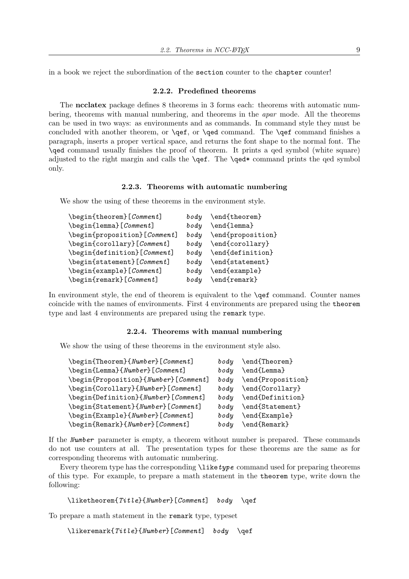in a book we reject the subordination of the section counter to the chapter counter!

#### 2.2.2. Predefined theorems

The ncclatex package defines 8 theorems in 3 forms each: theorems with automatic numbering, theorems with manual numbering, and theorems in the apar mode. All the theorems can be used in two ways: as environments and as commands. In command style they must be concluded with another theorem, or \qef, or \qed command. The \qef command finishes a paragraph, inserts a proper vertical space, and returns the font shape to the normal font. The \qed command usually finishes the proof of theorem. It prints a qed symbol (white square) adjusted to the right margin and calls the \qef. The \qed\* command prints the qed symbol only.

## 2.2.3. Theorems with automatic numbering

We show the using of these theorems in the environment style.

| \begin{theorem}[Comment]     | body | $\end{theorem}$   |
|------------------------------|------|-------------------|
| \begin{lemma}[Comment]       | body | \end{lemma}       |
| \begin{proposition}[Comment] | body | \end{proposition} |
| \begin{corollary}[Comment]   | body | \end{corollary}   |
| \begin{definition}[Comment]  | body | \end{definition}  |
| \begin{statement}[Comment]   | body | \end{statement}   |
| \begin{example}[Comment]     | body | \end{example}     |
| \begin{remark}[Comment]      | body | $\end{frak}$      |
|                              |      |                   |

In environment style, the end of theorem is equivalent to the \qef command. Counter names coincide with the names of environments. First 4 environments are prepared using the theorem type and last 4 environments are prepared using the remark type.

#### 2.2.4. Theorems with manual numbering

We show the using of these theorems in the environment style also.

| \begin{Theorem}{Number}[Comment]                     | $_{body}$ | \end{Theorem}     |
|------------------------------------------------------|-----------|-------------------|
| \begin{Lemma}{Number}[Comment]                       | body      | \end{Lemma}       |
| \begin{Proposition}{Number}[Comment]                 | body      | \end{Proposition} |
| \begin{Corollary}{Number}[Comment]                   | body      | \end{Corollary}   |
| \begin{Definition}{Number}[Comment]                  | body      | \end{Definition}  |
| \begin{Statement}{Number}[Comment]                   | $_{body}$ | \end{Statement}   |
| $\begin{bmatrix} \text{V} \\ \text{V} \end{bmatrix}$ | $_{body}$ | \end{Example}     |
| \begin{Remark}{Number}[Comment]                      | body      | \end{Remark}      |
|                                                      |           |                   |

If the Number parameter is empty, a theorem without number is prepared. These commands do not use counters at all. The presentation types for these theorems are the same as for corresponding theorems with automatic numbering.

Every theorem type has the corresponding  $\langle \text{like type command used for preparing theorems} \rangle$ of this type. For example, to prepare a math statement in the theorem type, write down the following:

```
\liketheorem{Title}{Number}[Comment] body \qef
```
To prepare a math statement in the remark type, typeset

```
\likeremark{Title}{Number}[Comment] body \qef
```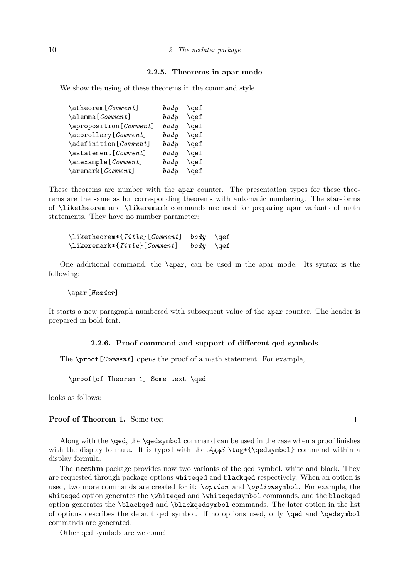## 2.2.5. Theorems in apar mode

We show the using of these theorems in the command style.

| \atheorem[Comment]        | body | $\setminus$ gef |
|---------------------------|------|-----------------|
| \alemma[Comment]          | body | \qef            |
| \aproposition [Comment]   | body | \qef            |
| \acorollary[Comment]      | body | $\sqrt{q}$      |
| \adefinition[Comment]     | body | \qef            |
| \astatement [Comment]     | body | \qef            |
| \anexample[Comment]       | body | $\sqrt{q}$      |
| $\text{Xermark}[Comment]$ | body | $\setminus$ gef |
|                           |      |                 |

These theorems are number with the apar counter. The presentation types for these theorems are the same as for corresponding theorems with automatic numbering. The star-forms of \liketheorem and \likeremark commands are used for preparing apar variants of math statements. They have no number parameter:

| $\{\text{Title} \}$ [ <i>Comment</i> ] $\text{body}$ \qef |                 |  |
|-----------------------------------------------------------|-----------------|--|
| $\text{likeremark*} {Title} [Comment]$                    | $body \ \{qef}$ |  |

One additional command, the \apar, can be used in the apar mode. Its syntax is the following:

#### \apar[Header]

It starts a new paragraph numbered with subsequent value of the apar counter. The header is prepared in bold font.

#### 2.2.6. Proof command and support of different qed symbols

The  $\text{proof}[Comment]$  opens the proof of a math statement. For example,

\proof[of Theorem 1] Some text \qed

looks as follows:

# Proof of Theorem 1. Some text

Along with the \qed, the \qedsymbol command can be used in the case when a proof finishes with the display formula. It is typed with the  $\mathcal{A}\mathcal{S} \tag{qedsymbol} command$  within a display formula.

The nccthm package provides now two variants of the qed symbol, white and black. They are requested through package options whiteqed and blackqed respectively. When an option is used, two more commands are created for it:  $\partial ption$  and  $\partial ptions$  bol. For example, the whiteqed option generates the \whiteqed and \whiteqedsymbol commands, and the blackqed option generates the \blackqed and \blackqedsymbol commands. The later option in the list of options describes the default qed symbol. If no options used, only \qed and \qedsymbol commands are generated.

Other qed symbols are welcome!

 $\Box$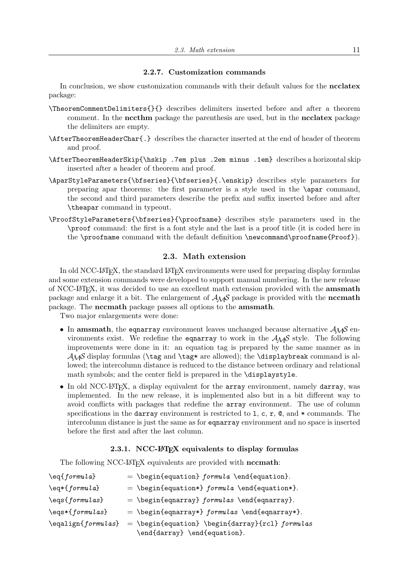#### 2.2.7. Customization commands

In conclusion, we show customization commands with their default values for the ncclatex package:

- \TheoremCommentDelimiters{}{} describes delimiters inserted before and after a theorem comment. In the **nccthm** package the parenthesis are used, but in the **ncclatex** package the delimiters are empty.
- \AfterTheoremHeaderChar{.} describes the character inserted at the end of header of theorem and proof.
- \AfterTheoremHeaderSkip{\hskip .7em plus .2em minus .1em} describes a horizontal skip inserted after a header of theorem and proof.
- \AparStyleParameters{\bfseries}{\bfseries}{.\enskip} describes style parameters for preparing apar theorems: the first parameter is a style used in the \apar command, the second and third parameters describe the prefix and suffix inserted before and after \theapar command in typeout.
- \ProofStyleParameters{\bfseries}{\proofname} describes style parameters used in the \proof command: the first is a font style and the last is a proof title (it is coded here in the \proofname command with the default definition \newcommand\proofname{Proof}).

### 2.3. Math extension

In old NCC-LATEX, the standard LATEX environments were used for preparing display formulas and some extension commands were developed to support manual numbering. In the new release of NCC-LATEX, it was decided to use an excellent math extension provided with the amsmath package and enlarge it a bit. The enlargement of  $A_{\mathcal{M}}\mathcal{S}$  package is provided with the **nccmath** package. The nccmath package passes all options to the amsmath.

Two major enlargements were done:

- In amsmath, the equarray environment leaves unchanged because alternative  $A_{\mathcal{M}}\mathcal{S}$  environments exist. We redefine the equarray to work in the  $A_{\mathcal{M}}S$  style. The following improvements were done in it: an equation tag is prepared by the same manner as in  $\mathcal{A}\mathcal{A}\mathcal{S}$  display formulas (\tag and \tag\* are allowed); the \displaybreak command is allowed; the intercolumn distance is reduced to the distance between ordinary and relational math symbols; and the center field is prepared in the \displaystyle.
- In old NCC-LAT<sub>EX</sub>, a display equivalent for the array environment, namely darray, was implemented. In the new release, it is implemented also but in a bit different way to avoid conflicts with packages that redefine the array environment. The use of column specifications in the darray environment is restricted to 1, c, r,  $\mathcal{Q}$ , and  $*$  commands. The intercolumn distance is just the same as for eqnarray environment and no space is inserted before the first and after the last column.

# 2.3.1. NCC-LATFX equivalents to display formulas

The following NCC-LAT<sub>EX</sub> equivalents are provided with **nccmath**:

| $\eqref{ formula}$ | $= \begin{bmatrix} \text{equation} & \text{fund-equation} \end{bmatrix}$                                                                            |
|--------------------|-----------------------------------------------------------------------------------------------------------------------------------------------------|
| \eq*{formula}      | = \begin{equation*} $formula \end{equation*}$ .                                                                                                     |
| \eqs{formulas}     | $= \begin{bmatrix} \text{equarray} \ formulas \\ \text{equarray} \end{bmatrix}$                                                                     |
| \eqs*{formulas}    | $= \begin{bmatrix} \text{equarray*} \ formulas \end{bmatrix}$                                                                                       |
| \eqalign{formulas} | $= \begin{equation} \begin{equation} \begin{cases} \text{darray} \text{for } \text{mod} \end{cases} \end{equation}$<br>\end{darray} \end{equation}. |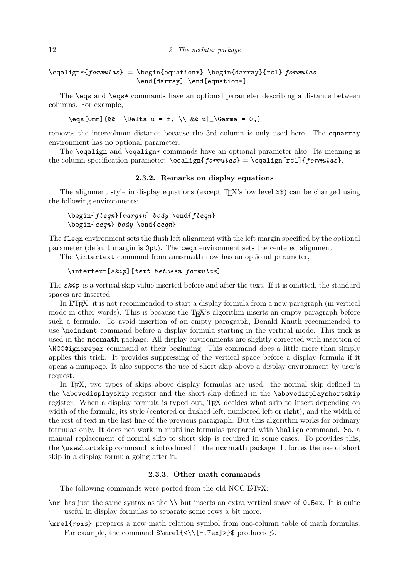# $\begin{equation*} \begin{equation*} \begin{equation*} \begin{equation*} \begin{equation*} \begin{equation*} \begin{equation*} \begin{array}{ccc*} \begin{array}{ccc*} \begin{array}{ccc*} \begin{array}{ccc*} \begin{array}{ccc*} \begin{array}{ccc*} \begin{array}{ccc*} \begin{array}{ccc*} \begin{array}{ccc*} \begin{array}{ccc*} \begin{array}{ccc*} \begin{array}{ccc*} \begin{array}{ccc*} \begin{array}{ccc*} \begin{array}{ccc*} \begin{array}{ccc*} \begin{array}{ccc*} \begin{array}{ccc*} \begin{array}{ccc*} \begin{array}{ccc*} \begin{array}{ccc*} \begin{$ \end{darray} \end{equation\*}.

The \eqs and \eqs\* commands have an optional parameter describing a distance between columns. For example,

 $\begin{bmatrix} \text{Sum} \ \text{& } -\Delta u = f, \ \{\&& \ u \} \ \text{Gamma} = 0, \} \end{bmatrix}$ 

removes the intercolumn distance because the 3rd column is only used here. The eqnarray environment has no optional parameter.

The \eqalign and \eqalign\* commands have an optional parameter also. Its meaning is the column specification parameter:  $\eqref{formulas} = \eqref{formulas}.$ 

## 2.3.2. Remarks on display equations

The alignment style in display equations (except TEX's low level \$\$) can be changed using the following environments:

# \begin{fleqn}[margin] body \end{fleqn} \begin{ceqn} body \end{ceqn}

The fleqn environment sets the flush left alignment with the left margin specified by the optional parameter (default margin is 0pt). The ceqn environment sets the centered alignment.

The \intertext command from amsmath now has an optional parameter,

#### \intertext[skip]{text between formulas}

The  $\mathbf{skip}$  is a vertical skip value inserted before and after the text. If it is omitted, the standard spaces are inserted.

In LATEX, it is not recommended to start a display formula from a new paragraph (in vertical mode in other words). This is because the T<sub>EX</sub>'s algorithm inserts an empty paragraph before such a formula. To avoid insertion of an empty paragraph, Donald Knuth recommended to use \noindent command before a display formula starting in the vertical mode. This trick is used in the nccmath package. All display environments are slightly corrected with insertion of \NCC@ignorepar command at their beginning. This command does a little more than simply applies this trick. It provides suppressing of the vertical space before a display formula if it opens a minipage. It also supports the use of short skip above a display environment by user's request.

In TEX, two types of skips above display formulas are used: the normal skip defined in the \abovedisplayskip register and the short skip defined in the \abovedisplayshortskip register. When a display formula is typed out, TEX decides what skip to insert depending on width of the formula, its style (centered or flushed left, numbered left or right), and the width of the rest of text in the last line of the previous paragraph. But this algorithm works for ordinary formulas only. It does not work in multiline formulas prepared with \halign command. So, a manual replacement of normal skip to short skip is required in some cases. To provides this, the \useshortskip command is introduced in the nccmath package. It forces the use of short skip in a display formula going after it.

#### 2.3.3. Other math commands

The following commands were ported from the old NCC-LAT<sub>EX</sub>:

- \nr has just the same syntax as the \\ but inserts an extra vertical space of 0.5ex. It is quite useful in display formulas to separate some rows a bit more.
- \mrel{rows} prepares a new math relation symbol from one-column table of math formulas. For example, the command  $\frac{\{\langle \}{-.7ex]}>\$  produces  $\leq$ .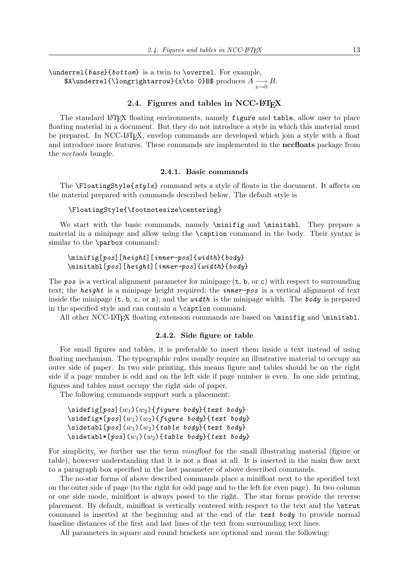\underrel{base}{bottom} is a twin to \overrel. For example,  $\Lambda \longrightarrow B$ .<br>\$A\underrel{\longrightarrow}{x\to 0}B\$ produces  $A \longrightarrow B$ .

# 2.4. Figures and tables in NCC-LATEX

The standard LATEX floating environments, namely figure and table, allow user to place floating material in a document. But they do not introduce a style in which this material must be prepared. In NCC-LATEX, envelop commands are developed which join a style with a float and introduce more features. These commands are implemented in the **nccfloats** package from the ncctools bungle.

#### 2.4.1. Basic commands

The  $\Theta$  is  $\Theta$  at ingstyle  $\{style\{style\}$  command sets a style of floats in the document. It affects on the material prepared with commands described below. The default style is

#### \FloatingStyle{\footnotesize\centering}

We start with the basic commands, namely  $\minif$  and  $\min$ tabl. They prepare a material in a minipage and allow using the \caption command in the body. Their syntax is similar to the \parbox command:

# \minifig[pos][height][inner-pos]{width}{body} \minitabl[pos][height][inner-pos]{width}{body}

The pos is a vertical alignment parameter for minipage  $(t, b, or c)$  with respect to surrounding text; the *height* is a minipage height required; the *inner-pos* is a vertical alignment of text inside the minipage  $(t, b, c, or s)$ ; and the *width* is the minipage width. The body is prepared in the specified style and can contain a \caption command.

All other NCC-LATEX floating extension commands are based on \minifig and \minitabl.

#### 2.4.2. Side figure or table

For small figures and tables, it is preferable to insert them inside a text instead of using floating mechanism. The typographic rules usually require an illustrative material to occupy an outer side of paper. In two side printing, this means figure and tables should be on the right side if a page number is odd and on the left side if page number is even. In one side printing, figures and tables must occupy the right side of paper.

The following commands support such a placement:

```
\setminus\text{sidefig}[pos](w<sub>1</sub>)(w<sub>2</sub>){figure body}{text body}
\setminus\text{sidefig*[pos]}(w_1)(w_2){figure\ body}{text body}
\setminussidetabl[pos](w<sub>1</sub>)(w<sub>2</sub>){table body}{text body}
\setminussidetabl*[pos](w<sub>1</sub>)(w<sub>2</sub>){table body}{text body}
```
For simplicity, we further use the term *minifloat* for the small illustrating material (figure or table), however understanding that it is not a float at all. It is inserted in the main flow next to a paragraph box specified in the last parameter of above described commands.

The no-star forms of above described commands place a minifloat next to the specified text on the outer side of page (to the right for odd page and to the left for even page). In two column or one side mode, minifloat is always posed to the right. The star forms provide the reverse placement. By default, minifloat is vertically centered with respect to the text and the \strut command is inserted at the beginning and at the end of the text body to provide normal baseline distances of the first and last lines of the text from surrounding text lines.

All parameters in square and round brackets are optional and mean the following: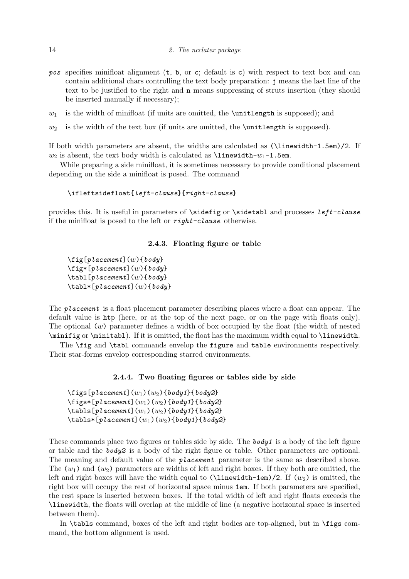- pos specifies minifloat alignment (t, b, or c; default is c) with respect to text box and can contain additional chars controlling the text body preparation: j means the last line of the text to be justified to the right and n means suppressing of struts insertion (they should be inserted manually if necessary);
- $w_1$  is the width of minifloat (if units are omitted, the \unitlength is supposed); and
- $w_2$  is the width of the text box (if units are omitted, the \unitlength is supposed).

If both width parameters are absent, the widths are calculated as (\linewidth-1.5em)/2. If  $w_2$  is absent, the text body width is calculated as  $\lim$ width- $w_1$ -1.5em.

While preparing a side minifloat, it is sometimes necessary to provide conditional placement depending on the side a minifloat is posed. The command

\ifleftsidefloat{left-clause}{right-clause}

provides this. It is useful in parameters of \sidefig or \sidetabl and processes left-clause if the minifloat is posed to the left or right-clause otherwise.

## 2.4.3. Floating figure or table

```
\left\{ \pi\left[placent\right]\left(w\right)\right\}\left\{ \pi\left[ \mathit{p} \mathit{l} \mathit{a} \mathit{c} \mathit{e} \mathit{m} \right] \right\}\text{tabl}[placement](w){\text{body}}\{\tabla \cdot [p \, \text{lacent}](w) \, \{\text{body}\}\}
```
The *placement* is a float placement parameter describing places where a float can appear. The default value is htp (here, or at the top of the next page, or on the page with floats only). The optional  $(w)$  parameter defines a width of box occupied by the float (the width of nested \minifig or \minitabl). If it is omitted, the float has the maximum width equal to \linewidth.

The \fig and \tabl commands envelop the figure and table environments respectively. Their star-forms envelop corresponding starred environments.

#### 2.4.4. Two floating figures or tables side by side

```
\left\{ \pi\left[placent\right](w_1)(w_2)\right\}\left\{ \right\}[placement](w<sub>1</sub>)(w<sub>2</sub>){body1}{body2}
\{\text{tables}[p\text{lacement}](w_1)(w_2)\{\text{body1}\}\{\text{body2}\}\\{\tablalacement](w_1)(w_2){\text{body1}}{body2}
```
These commands place two figures or tables side by side. The **body** is a body of the left figure or table and the  $body2$  is a body of the right figure or table. Other parameters are optional. The meaning and default value of the *placement* parameter is the same as described above. The  $(w_1)$  and  $(w_2)$  parameters are widths of left and right boxes. If they both are omitted, the left and right boxes will have the width equal to  $(\lambda_1$ inewidth-1em)/2. If  $(w_2)$  is omitted, the right box will occupy the rest of horizontal space minus 1em. If both parameters are specified, the rest space is inserted between boxes. If the total width of left and right floats exceeds the \linewidth, the floats will overlap at the middle of line (a negative horizontal space is inserted between them).

In \tabls command, boxes of the left and right bodies are top-aligned, but in \figs command, the bottom alignment is used.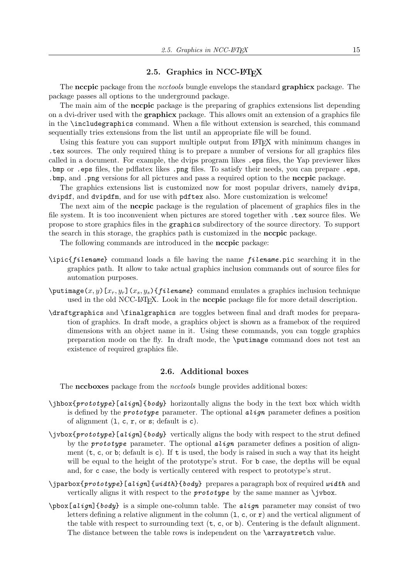# 2.5. Graphics in NCC-LATEX

The necpic package from the *ncctools* bungle envelops the standard **graphicx** package. The package passes all options to the underground package.

The main aim of the **nccpic** package is the preparing of graphics extensions list depending on a dvi-driver used with the graphicx package. This allows omit an extension of a graphics file in the \includegraphics command. When a file without extension is searched, this command sequentially tries extensions from the list until an appropriate file will be found.

Using this feature you can support multiple output from LATEX with minimum changes in .tex sources. The only required thing is to prepare a number of versions for all graphics files called in a document. For example, the dvips program likes .eps files, the Yap previewer likes .bmp or .eps files, the pdflatex likes .png files. To satisfy their needs, you can prepare .eps, .bmp, and .png versions for all pictures and pass a required option to the nccpic package.

The graphics extensions list is customized now for most popular drivers, namely dvips, dvipdf, and dvipdfm, and for use with pdftex also. More customization is welcome!

The next aim of the nccpic package is the regulation of placement of graphics files in the file system. It is too inconvenient when pictures are stored together with .tex source files. We propose to store graphics files in the graphics subdirectory of the source directory. To support the search in this storage, the graphics path is customized in the nccpic package.

The following commands are introduced in the **nccpic** package:

- $\pi$  (integral command loads a file having the name *filename*.pic searching it in the graphics path. It allow to take actual graphics inclusion commands out of source files for automation purposes.
- $\phi(x, y)[x_r, y_r](x_s, y_s)$ {filename} command emulates a graphics inclusion technique used in the old NCC-LAT<sub>EX</sub>. Look in the **nccpic** package file for more detail description.
- \draftgraphics and \finalgraphics are toggles between final and draft modes for preparation of graphics. In draft mode, a graphics object is shown as a framebox of the required dimensions with an object name in it. Using these commands, you can toggle graphics preparation mode on the fly. In draft mode, the \putimage command does not test an existence of required graphics file.

#### 2.6. Additional boxes

The nccboxes package from the *ncctools* bungle provides additional boxes:

- $\iint_{\mathbb{R}} \delta$  align]{body} horizontally aligns the body in the text box which width is defined by the **prototype** parameter. The optional  $align$  parameter defines a position of alignment  $(1, c, r, or s; default is c)$ .
- \jvbox{prototype}[align]{body} vertically aligns the body with respect to the strut defined by the **prototype** parameter. The optional  $align$  parameter defines a position of alignment  $(t, c, or b; default is c)$ . If t is used, the body is raised in such a way that its height will be equal to the height of the prototype's strut. For **b** case, the depths will be equal and, for c case, the body is vertically centered with respect to prototype's strut.
- $\partial$  iparbox{prototype}[align]{width}{body} prepares a paragraph box of required width and vertically aligns it with respect to the *prototype* by the same manner as  $\iota$  vbox.
- $\boldsymbol{\alpha}$  is a simple one-column table. The *align* parameter may consist of two letters defining a relative alignment in the column  $(1, c, or r)$  and the vertical alignment of the table with respect to surrounding text (t, c, or b). Centering is the default alignment. The distance between the table rows is independent on the \arraystretch value.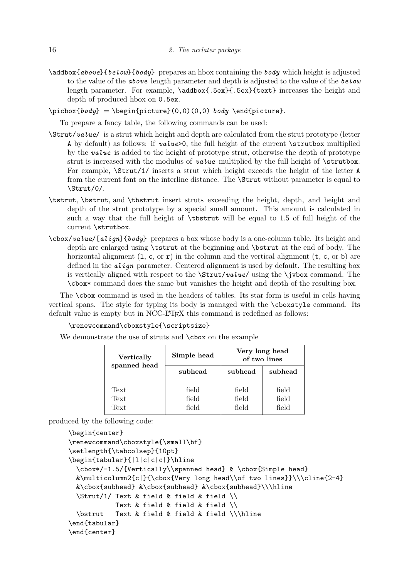$\{\alpha\}$  \addbox{ $\alpha$ below}{body} prepares an hbox containing the body which height is adjusted to the value of the **above** length parameter and depth is adjusted to the value of the **below** length parameter. For example,  $\addbox{box{6ex}}$ .5ex}{text} increases the height and depth of produced hbox on 0.5ex.

 $\pi\boxtimes\{body} = \begin{pmatrix} (0,0)(0,0) & body \end{pmatrix}.$ 

To prepare a fancy table, the following commands can be used:

- $\text{Strut}/value/$  is a strut which height and depth are calculated from the strut prototype (letter A by default) as follows: if value>0, the full height of the current \strutbox multiplied by the value is added to the height of prototype strut, otherwise the depth of prototype strut is increased with the modulus of *value* multiplied by the full height of **\strutbox.** For example, \Strut/1/ inserts a strut which height exceeds the height of the letter A from the current font on the interline distance. The \Strut without parameter is equal to \Strut/0/.
- \tstrut, \bstrut, and \tbstrut insert struts exceeding the height, depth, and height and depth of the strut prototype by a special small amount. This amount is calculated in such a way that the full height of \tbstrut will be equal to 1.5 of full height of the current \strutbox.
- $\cosh\theta$  /  $\cosh\theta$  and  $\cosh\theta$  prepares a box whose body is a one-column table. Its height and depth are enlarged using \tstrut at the beginning and \bstrut at the end of body. The horizontal alignment  $(1, c, or r)$  in the column and the vertical alignment  $(t, c, or b)$  are defined in the  $align$  parameter. Centered alignment is used by default. The resulting box is vertically aligned with respect to the  $\strut \Sigma \text{value/}$  using the  $\jmath \text{vbox}$  command. The \cbox\* command does the same but vanishes the height and depth of the resulting box.

The \cbox command is used in the headers of tables. Its star form is useful in cells having vertical spans. The style for typing its body is managed with the \cboxstyle command. Its default value is empty but in NCC-LAT<sub>EX</sub> this command is redefined as follows:

\renewcommand\cboxstyle{\scriptsize}

We demonstrate the use of struts and  $\cosh$  on the example

| Vertically<br>spanned head | Simple head             | Very long head<br>of two lines |                         |  |
|----------------------------|-------------------------|--------------------------------|-------------------------|--|
|                            | subhead                 | subhead                        | subhead                 |  |
| Text<br>Text<br>Text       | field<br>field<br>field | field<br>field<br>field        | field<br>field<br>field |  |

produced by the following code:

```
\begin{center}
\renewcommand\cboxstyle{\small\bf}
\setlength{\tabcolsep}{10pt}
\begin{tabular}{|l|c|c|c|}\hline
  \cbox*/-1.5/{Vertically\\spanned head} & \cbox{Simple head}
  \&\nu\triangleright \{\c\}\{\c\}\{\c\} long head\\of two lines}}\\\cline{2-4}
  &\cbox{subhead} &\cbox{subhead} &\cbox{subhead}\\\hline
  \Strut/1/ Text & field & field & field \\
            Text & field & field & field \setminus\bstrut Text & field & field & field \\\hline
\end{tabular}
\end{center}
```